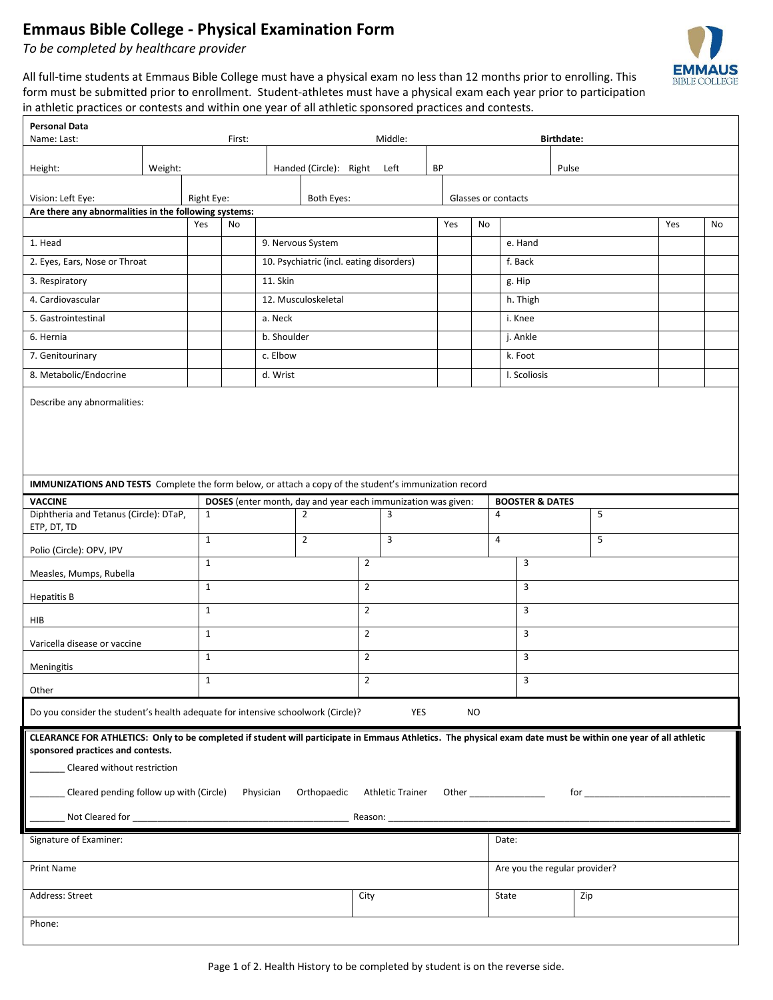## **Emmaus Bible College - Physical Examination Form**

*To be completed by healthcare provider*



All full-time students at Emmaus Bible College must have a physical exam no less than 12 months prior to enrolling. This form must be submitted prior to enrollment. Student-athletes must have a physical exam each year prior to participation in athletic practices or contests and within one year of all athletic sponsored practices and contests.

| <b>Personal Data</b><br>Name: Last:<br>Middle:<br><b>Birthdate:</b><br>First:                                                                                                                                                                                                                                                                                                                                                                                                                                                                                                |              |                                |                |                                          |                |                   |       |         |                |           |                                                   |  |     |  |     |    |  |
|------------------------------------------------------------------------------------------------------------------------------------------------------------------------------------------------------------------------------------------------------------------------------------------------------------------------------------------------------------------------------------------------------------------------------------------------------------------------------------------------------------------------------------------------------------------------------|--------------|--------------------------------|----------------|------------------------------------------|----------------|-------------------|-------|---------|----------------|-----------|---------------------------------------------------|--|-----|--|-----|----|--|
|                                                                                                                                                                                                                                                                                                                                                                                                                                                                                                                                                                              |              |                                |                |                                          |                |                   |       |         |                |           |                                                   |  |     |  |     |    |  |
| Height:                                                                                                                                                                                                                                                                                                                                                                                                                                                                                                                                                                      |              | Handed (Circle): Right         |                |                                          |                | <b>BP</b><br>Left |       |         |                | Pulse     |                                                   |  |     |  |     |    |  |
| Vision: Left Eye:                                                                                                                                                                                                                                                                                                                                                                                                                                                                                                                                                            |              |                                |                |                                          |                |                   |       |         |                |           |                                                   |  |     |  |     |    |  |
| Right Eye:<br>Both Eyes:<br>Glasses or contacts<br>Are there any abnormalities in the following systems:                                                                                                                                                                                                                                                                                                                                                                                                                                                                     |              |                                |                |                                          |                |                   |       |         |                |           |                                                   |  |     |  |     |    |  |
|                                                                                                                                                                                                                                                                                                                                                                                                                                                                                                                                                                              | Yes          | No                             |                |                                          |                |                   |       | Yes     | No             |           |                                                   |  |     |  | Yes | No |  |
| 1. Head                                                                                                                                                                                                                                                                                                                                                                                                                                                                                                                                                                      |              |                                |                | 9. Nervous System                        |                |                   |       |         |                | e. Hand   |                                                   |  |     |  |     |    |  |
| 2. Eyes, Ears, Nose or Throat                                                                                                                                                                                                                                                                                                                                                                                                                                                                                                                                                |              |                                |                | 10. Psychiatric (incl. eating disorders) |                |                   |       |         | f. Back        |           |                                                   |  |     |  |     |    |  |
| 3. Respiratory                                                                                                                                                                                                                                                                                                                                                                                                                                                                                                                                                               |              |                                | 11. Skin       |                                          |                |                   |       |         |                | g. Hip    |                                                   |  |     |  |     |    |  |
| 4. Cardiovascular                                                                                                                                                                                                                                                                                                                                                                                                                                                                                                                                                            |              |                                |                | 12. Musculoskeletal                      |                |                   |       |         |                | h. Thigh  |                                                   |  |     |  |     |    |  |
| 5. Gastrointestinal                                                                                                                                                                                                                                                                                                                                                                                                                                                                                                                                                          |              |                                | a. Neck        |                                          |                |                   |       | i. Knee |                |           |                                                   |  |     |  |     |    |  |
| 6. Hernia                                                                                                                                                                                                                                                                                                                                                                                                                                                                                                                                                                    |              |                                |                | b. Shoulder                              |                |                   |       |         | j. Ankle       |           |                                                   |  |     |  |     |    |  |
| 7. Genitourinary                                                                                                                                                                                                                                                                                                                                                                                                                                                                                                                                                             |              |                                | c. Elbow       |                                          |                |                   |       |         | k. Foot        |           |                                                   |  |     |  |     |    |  |
| 8. Metabolic/Endocrine                                                                                                                                                                                                                                                                                                                                                                                                                                                                                                                                                       |              |                                |                | d. Wrist                                 |                |                   |       |         |                |           | I. Scoliosis                                      |  |     |  |     |    |  |
| Describe any abnormalities:                                                                                                                                                                                                                                                                                                                                                                                                                                                                                                                                                  |              |                                |                |                                          |                |                   |       |         |                |           |                                                   |  |     |  |     |    |  |
| IMMUNIZATIONS AND TESTS Complete the form below, or attach a copy of the student's immunization record                                                                                                                                                                                                                                                                                                                                                                                                                                                                       |              |                                |                |                                          |                |                   |       |         |                |           |                                                   |  |     |  |     |    |  |
| <b>VACCINE</b><br>DOSES (enter month, day and year each immunization was given:<br>Diphtheria and Tetanus (Circle): DTaP,                                                                                                                                                                                                                                                                                                                                                                                                                                                    |              |                                |                |                                          |                |                   | 3     |         |                |           | <b>BOOSTER &amp; DATES</b><br>$\overline{4}$<br>5 |  |     |  |     |    |  |
| ETP, DT, TD                                                                                                                                                                                                                                                                                                                                                                                                                                                                                                                                                                  |              | $\overline{2}$<br>$\mathbf{1}$ |                |                                          |                |                   |       |         |                |           |                                                   |  |     |  |     |    |  |
| Polio (Circle): OPV, IPV                                                                                                                                                                                                                                                                                                                                                                                                                                                                                                                                                     | $\mathbf{1}$ |                                |                | $\overline{2}$                           | 3              |                   |       |         | $\overline{4}$ |           |                                                   |  | 5   |  |     |    |  |
| Measles, Mumps, Rubella                                                                                                                                                                                                                                                                                                                                                                                                                                                                                                                                                      | $\mathbf{1}$ |                                |                |                                          | $\overline{2}$ |                   |       |         |                |           | 3                                                 |  |     |  |     |    |  |
| <b>Hepatitis B</b>                                                                                                                                                                                                                                                                                                                                                                                                                                                                                                                                                           | $\mathbf{1}$ |                                |                |                                          |                | $\overline{2}$    |       |         |                | 3         |                                                   |  |     |  |     |    |  |
| HIB                                                                                                                                                                                                                                                                                                                                                                                                                                                                                                                                                                          | $\mathbf{1}$ |                                |                |                                          | $\overline{2}$ |                   |       |         |                | 3         |                                                   |  |     |  |     |    |  |
| Varicella disease or vaccine                                                                                                                                                                                                                                                                                                                                                                                                                                                                                                                                                 | $\mathbf{1}$ |                                |                |                                          | $\overline{2}$ |                   |       |         |                | 3         |                                                   |  |     |  |     |    |  |
| Meningitis                                                                                                                                                                                                                                                                                                                                                                                                                                                                                                                                                                   | $\mathbf{1}$ |                                |                | $\overline{2}$                           |                |                   |       |         | 3              |           |                                                   |  |     |  |     |    |  |
| Other                                                                                                                                                                                                                                                                                                                                                                                                                                                                                                                                                                        |              |                                | $\overline{2}$ |                                          |                |                   |       | 3       |                |           |                                                   |  |     |  |     |    |  |
| Do you consider the student's health adequate for intensive schoolwork (Circle)?                                                                                                                                                                                                                                                                                                                                                                                                                                                                                             |              |                                |                |                                          |                |                   | YES   |         |                | <b>NO</b> |                                                   |  |     |  |     |    |  |
| CLEARANCE FOR ATHLETICS: Only to be completed if student will participate in Emmaus Athletics. The physical exam date must be within one year of all athletic<br>sponsored practices and contests.<br>Cleared without restriction<br>Cleared pending follow up with (Circle)<br>Physician<br>Orthopaedic<br><b>Athletic Trainer</b><br>for<br>Other and the control of the control of the control of the control of the control of the control of the control of the control of the control of the control of the control of the control of the control of the control of th |              |                                |                |                                          |                |                   |       |         |                |           |                                                   |  |     |  |     |    |  |
| Reason:                                                                                                                                                                                                                                                                                                                                                                                                                                                                                                                                                                      |              |                                |                |                                          |                |                   |       |         |                |           |                                                   |  |     |  |     |    |  |
| Signature of Examiner:                                                                                                                                                                                                                                                                                                                                                                                                                                                                                                                                                       |              |                                |                |                                          |                |                   | Date: |         |                |           |                                                   |  |     |  |     |    |  |
| Print Name                                                                                                                                                                                                                                                                                                                                                                                                                                                                                                                                                                   |              |                                |                |                                          |                |                   |       |         |                |           | Are you the regular provider?                     |  |     |  |     |    |  |
| Address: Street                                                                                                                                                                                                                                                                                                                                                                                                                                                                                                                                                              |              |                                |                |                                          |                | City              |       |         |                | State     |                                                   |  | Zip |  |     |    |  |
| Phone:                                                                                                                                                                                                                                                                                                                                                                                                                                                                                                                                                                       |              |                                |                |                                          |                |                   |       |         |                |           |                                                   |  |     |  |     |    |  |